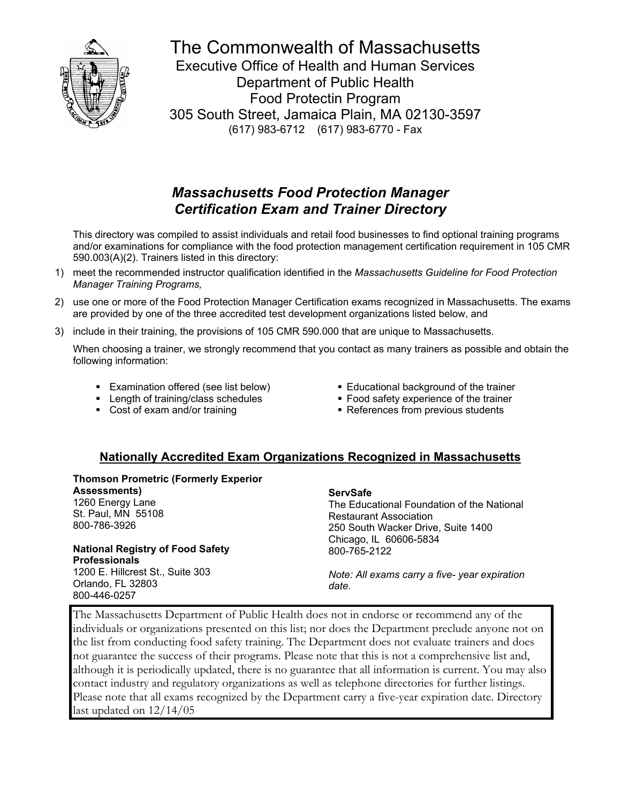

The Commonwealth of Massachusetts Executive Office of Health and Human Services Department of Public Health Food Protectin Program 305 South Street, Jamaica Plain, MA 02130-3597 (617) 983-6712 (617) 983-6770 - Fax

# *Massachusetts Food Protection Manager Certification Exam and Trainer Directory*

 This directory was compiled to assist individuals and retail food businesses to find optional training programs and/or examinations for compliance with the food protection management certification requirement in 105 CMR 590.003(A)(2). Trainers listed in this directory:

- 1) meet the recommended instructor qualification identified in the *Massachusetts Guideline for Food Protection Manager Training Programs,*
- 2) use one or more of the Food Protection Manager Certification exams recognized in Massachusetts. The exams are provided by one of the three accredited test development organizations listed below, and
- 3) include in their training, the provisions of 105 CMR 590.000 that are unique to Massachusetts.

 When choosing a trainer, we strongly recommend that you contact as many trainers as possible and obtain the following information:

- **Examination offered (see list below)**
- **EXECUTE:** Length of training/class schedules
- Cost of exam and/or training
- **Educational background of the trainer**
- **Food safety experience of the trainer**
- **-** References from previous students

# **Nationally Accredited Exam Organizations Recognized in Massachusetts**

**Thomson Prometric (Formerly Experior Assessments)**  1260 Energy Lane St. Paul, MN 55108 800-786-3926

**National Registry of Food Safety Professionals**  1200 E. Hillcrest St., Suite 303 Orlando, FL 32803 800-446-0257

#### **ServSafe**

The Educational Foundation of the National Restaurant Association 250 South Wacker Drive, Suite 1400 Chicago, IL 60606-5834 800-765-2122

*Note: All exams carry a five- year expiration date.* 

The Massachusetts Department of Public Health does not in endorse or recommend any of the individuals or organizations presented on this list; nor does the Department preclude anyone not on the list from conducting food safety training. The Department does not evaluate trainers and does not guarantee the success of their programs. Please note that this is not a comprehensive list and, although it is periodically updated, there is no guarantee that all information is current. You may also contact industry and regulatory organizations as well as telephone directories for further listings. Please note that all exams recognized by the Department carry a five-year expiration date. Directory last updated on 12/14/05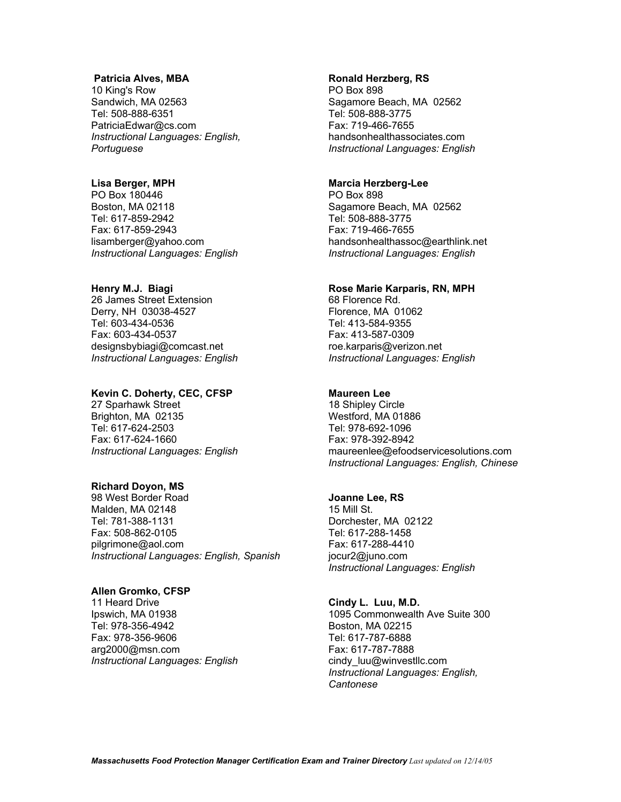#### **Patricia Alves, MBA**

10 King's Row Sandwich, MA 02563 Tel: 508-888-6351 PatriciaEdwar@cs.com *Instructional Languages: English, Portuguese* 

# **Lisa Berger, MPH**

PO Box 180446 Boston, MA 02118 Tel: 617-859-2942 Fax: 617-859-2943 lisamberger@yahoo.com *Instructional Languages: English* 

#### **Henry M.J. Biagi**

26 James Street Extension Derry, NH 03038-4527 Tel: 603-434-0536 Fax: 603-434-0537 designsbybiagi@comcast.net *Instructional Languages: English* 

#### **Kevin C. Doherty, CEC, CFSP**

27 Sparhawk Street Brighton, MA 02135 Tel: 617-624-2503 Fax: 617-624-1660 *Instructional Languages: English* 

# **Richard Doyon, MS**

98 West Border Road Malden, MA 02148 Tel: 781-388-1131 Fax: 508-862-0105 pilgrimone@aol.com *Instructional Languages: English, Spanish* 

#### **Allen Gromko, CFSP**

11 Heard Drive Ipswich, MA 01938 Tel: 978-356-4942 Fax: 978-356-9606 arg2000@msn.com *Instructional Languages: English* 

#### **Ronald Herzberg, RS**

PO Box 898 Sagamore Beach, MA 02562 Tel: 508-888-3775 Fax: 719-466-7655 handsonhealthassociates.com *Instructional Languages: English* 

# **Marcia Herzberg-Lee**

PO Box 898 Sagamore Beach, MA 02562 Tel: 508-888-3775 Fax: 719-466-7655 handsonhealthassoc@earthlink.net *Instructional Languages: English* 

#### **Rose Marie Karparis, RN, MPH**

68 Florence Rd. Florence, MA 01062 Tel: 413-584-9355 Fax: 413-587-0309 roe.karparis@verizon.net *Instructional Languages: English* 

#### **Maureen Lee**

18 Shipley Circle Westford, MA 01886 Tel: 978-692-1096 Fax: 978-392-8942 maureenlee@efoodservicesolutions.com *Instructional Languages: English, Chinese* 

#### **Joanne Lee, RS**

15 Mill St. Dorchester, MA 02122 Tel: 617-288-1458 Fax: 617-288-4410 jocur2@juno.com *Instructional Languages: English* 

#### **Cindy L. Luu, M.D.**

1095 Commonwealth Ave Suite 300 Boston, MA 02215 Tel: 617-787-6888 Fax: 617-787-7888 cindy\_luu@winvestllc.com *Instructional Languages: English, Cantonese*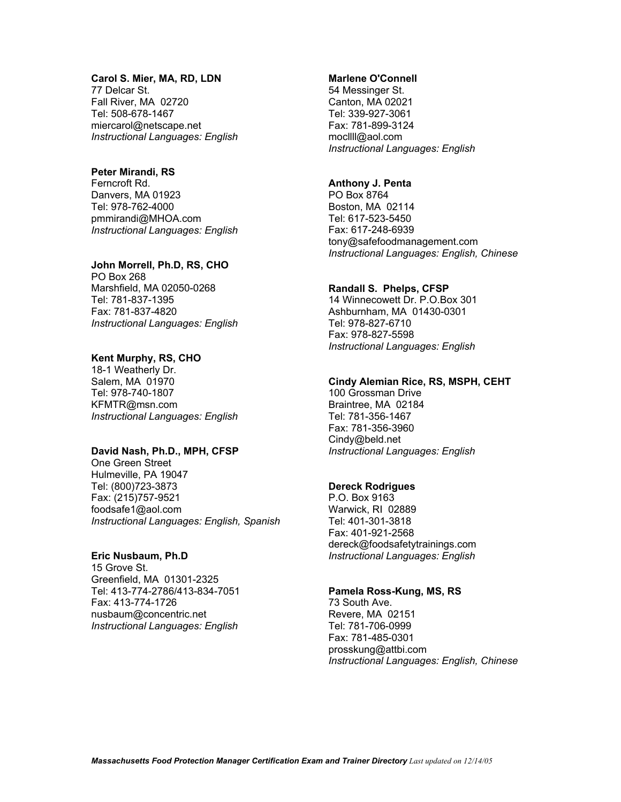#### **Carol S. Mier, MA, RD, LDN**

77 Delcar St. Fall River, MA 02720 Tel: 508-678-1467 miercarol@netscape.net *Instructional Languages: English* 

#### **Peter Mirandi, RS**

Ferncroft Rd. Danvers, MA 01923 Tel: 978-762-4000 pmmirandi@MHOA.com *Instructional Languages: English* 

#### **John Morrell, Ph.D, RS, CHO**

PO Box 268 Marshfield, MA 02050-0268 Tel: 781-837-1395 Fax: 781-837-4820 *Instructional Languages: English* 

# **Kent Murphy, RS, CHO**

18-1 Weatherly Dr. Salem, MA 01970 Tel: 978-740-1807 KFMTR@msn.com *Instructional Languages: English* 

#### **David Nash, Ph.D., MPH, CFSP**

One Green Street Hulmeville, PA 19047 Tel: (800)723-3873 Fax: (215)757-9521 foodsafe1@aol.com *Instructional Languages: English, Spanish* 

#### **Eric Nusbaum, Ph.D**

15 Grove St. Greenfield, MA 01301-2325 Tel: 413-774-2786/413-834-7051 Fax: 413-774-1726 nusbaum@concentric.net *Instructional Languages: English* 

# **Marlene O'Connell**

54 Messinger St. Canton, MA 02021 Tel: 339-927-3061 Fax: 781-899-3124 mocllll@aol.com *Instructional Languages: English* 

# **Anthony J. Penta**

PO Box 8764 Boston, MA 02114 Tel: 617-523-5450 Fax: 617-248-6939 tony@safefoodmanagement.com *Instructional Languages: English, Chinese* 

#### **Randall S. Phelps, CFSP**

14 Winnecowett Dr. P.O.Box 301 Ashburnham, MA 01430-0301 Tel: 978-827-6710 Fax: 978-827-5598 *Instructional Languages: English* 

#### **Cindy Alemian Rice, RS, MSPH, CEHT**

100 Grossman Drive Braintree, MA 02184 Tel: 781-356-1467 Fax: 781-356-3960 Cindy@beld.net *Instructional Languages: English* 

# **Dereck Rodrigues**

P.O. Box 9163 Warwick, RI 02889 Tel: 401-301-3818 Fax: 401-921-2568 dereck@foodsafetytrainings.com *Instructional Languages: English* 

#### **Pamela Ross-Kung, MS, RS**

73 South Ave. Revere, MA 02151 Tel: 781-706-0999 Fax: 781-485-0301 prosskung@attbi.com *Instructional Languages: English, Chinese*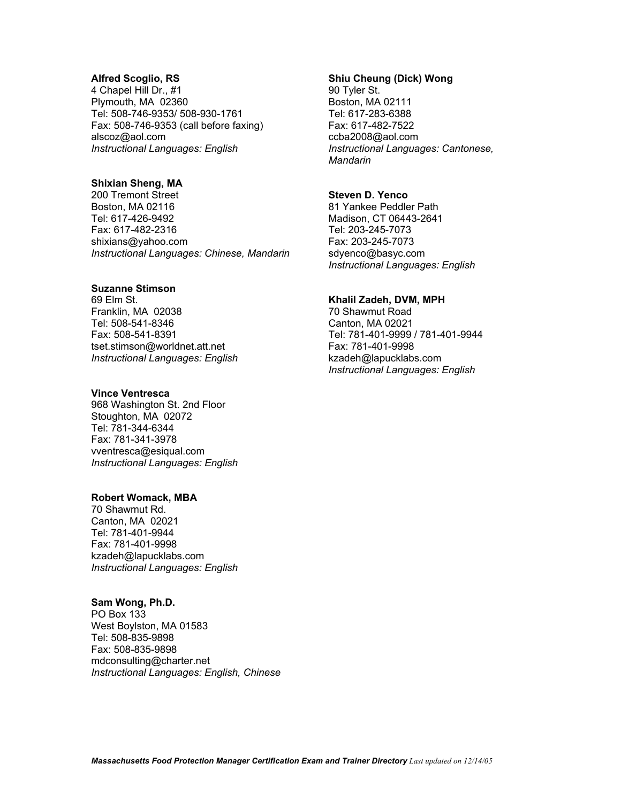#### **Alfred Scoglio, RS**

4 Chapel Hill Dr., #1 Plymouth, MA 02360 Tel: 508-746-9353/ 508-930-1761 Fax: 508-746-9353 (call before faxing) alscoz@aol.com *Instructional Languages: English* 

# **Shixian Sheng, MA**

200 Tremont Street Boston, MA 02116 Tel: 617-426-9492 Fax: 617-482-2316 shixians@yahoo.com *Instructional Languages: Chinese, Mandarin* 

### **Suzanne Stimson**

69 Elm St. Franklin, MA 02038 Tel: 508-541-8346 Fax: 508-541-8391 tset.stimson@worldnet.att.net *Instructional Languages: English* 

#### **Vince Ventresca**

968 Washington St. 2nd Floor Stoughton, MA 02072 Tel: 781-344-6344 Fax: 781-341-3978 vventresca@esiqual.com *Instructional Languages: English* 

#### **Robert Womack, MBA**

70 Shawmut Rd. Canton, MA 02021 Tel: 781-401-9944 Fax: 781-401-9998 kzadeh@lapucklabs.com *Instructional Languages: English* 

#### **Sam Wong, Ph.D.**

PO Box 133 West Boylston, MA 01583 Tel: 508-835-9898 Fax: 508-835-9898 mdconsulting@charter.net *Instructional Languages: English, Chinese* 

# **Shiu Cheung (Dick) Wong**

90 Tyler St. Boston, MA 02111 Tel: 617-283-6388 Fax: 617-482-7522 ccba2008@aol.com *Instructional Languages: Cantonese, Mandarin* 

# **Steven D. Yenco**

81 Yankee Peddler Path Madison, CT 06443-2641 Tel: 203-245-7073 Fax: 203-245-7073 sdyenco@basyc.com *Instructional Languages: English* 

# **Khalil Zadeh, DVM, MPH**

70 Shawmut Road Canton, MA 02021 Tel: 781-401-9999 / 781-401-9944 Fax: 781-401-9998 kzadeh@lapucklabs.com *Instructional Languages: English*